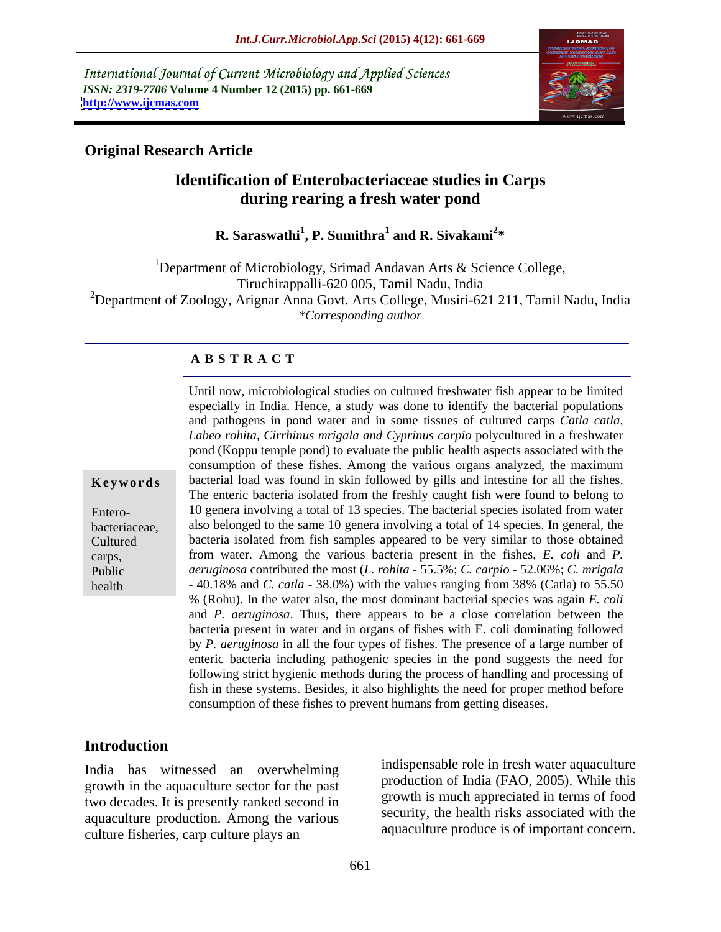International Journal of Current Microbiology and Applied Sciences *ISSN: 2319-7706* **Volume 4 Number 12 (2015) pp. 661-669 <http://www.ijcmas.com>**



### **Original Research Article**

## **Identification of Enterobacteriaceae studies in Carps during rearing a fresh water pond**

**R. Saraswathi<sup>1</sup> , P. Sumithra<sup>1</sup> and R. Sivakami<sup>2</sup> \***

<sup>1</sup>Department of Microbiology, Srimad Andavan Arts  $\&$  Science College, Tiruchirappalli-620 005, Tamil Nadu, India <sup>2</sup>Department of Zoology, Arignar Anna Govt. Arts College, Musiri-621 211, Tamil Nadu, India *\*Corresponding author*

#### **A B S T R A C T**

health

Until now, microbiological studies on cultured freshwater fish appear to be limited especially in India. Hence, a study was done to identify the bacterial populations and pathogens in pond water and in some tissues of cultured carps *Catla catla, Labeo rohita, Cirrhinus mrigala and Cyprinus carpio* polycultured in a freshwater pond (Koppu temple pond) to evaluate the public health aspects associated with the consumption of these fishes. Among the various organs analyzed, the maximum **Keywords** bacterial load was found in skin followed by gills and intestine for all the fishes. The enteric bacteria isolated from the freshly caught fish were found to belong to 10 genera involving a total of 13 species. The bacterial species isolated from water Entero bacteriaceae, also belonged to the same 10 genera involving a total of 14 species. In general, the bacteria isolated from fish samples appeared to be very similar to those obtained Cultured from water. Among the various bacteria present in the fishes, *E. coli* and *P.*  carps, *aeruginosa* contributed the most (*L. rohita* - 55.5%; *C. carpio* - 52.06%; *C. mrigala* Public - 40.18% and *C. catla* - 38.0%) with the values ranging from 38% (Catla) to 55.50 % (Rohu). In the water also, the most dominant bacterial species was again *E. coli* and *P. aeruginosa*. Thus, there appears to be a close correlation between the bacteria present in water and in organs of fishes with E. coli dominating followed by *P. aeruginosa* in all the four types of fishes. The presence of a large number of enteric bacteria including pathogenic species in the pond suggests the need for following strict hygienic methods during the process of handling and processing of fish in these systems. Besides, it also highlights the need for proper method before consumption of these fishes to prevent humans from getting diseases.

#### **Introduction**

India has witnessed an overwhelming growth in the aquaculture sector for the past two decades. It is presently ranked second in aquaculture production. Among the various culture fisheries, carp culture plays an

indispensable role in fresh water aquaculture production of India (FAO, 2005). While this growth is much appreciated in terms of food security, the health risks associated with the aquaculture produce is of important concern.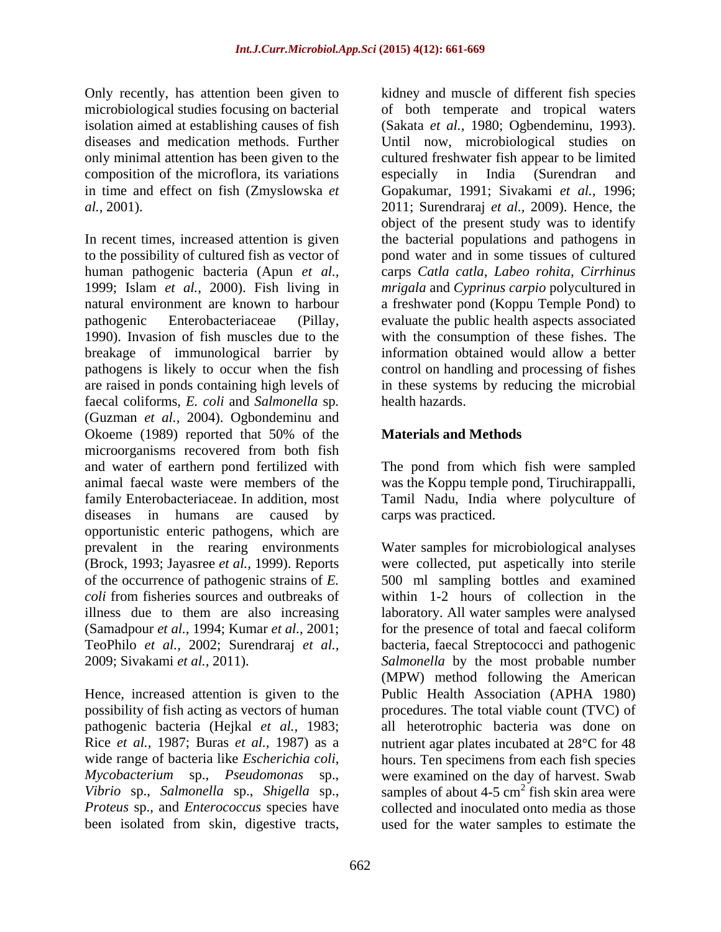Only recently, has attention been given to kidney and muscle of different fish species composition of the microflora, its variations especially in India (Surendran and

In recent times, increased attention is given the bacterial populations and pathogens in to the possibility of cultured fish as vector of human pathogenic bacteria (Apun *et al.,* carps *Catla catla, Labeo rohita, Cirrhinus* 1999; Islam *et al.,* 2000). Fish living in *mrigala* and *Cyprinus carpio* polycultured in natural environment are known to harbour a freshwater pond (Koppu Temple Pond) to pathogenic Enterobacteriaceae (Pillay, evaluate the public health aspects associated 1990). Invasion of fish muscles due to the with the consumption of these fishes. The breakage of immunological barrier by pathogens is likely to occur when the fish control on handling and processing of fishes are raised in ponds containing high levels of in these systems by reducing the microbial faecal coliforms, *E. coli* and *Salmonella* sp*.* (Guzman *et al.,* 2004). Ogbondeminu and Okoeme (1989) reported that 50% of the **Materials and Methods** microorganisms recovered from both fish and water of earthern pond fertilized with The pond from which fish were sampled animal faecal waste were members of the was the Koppu temple pond, Tiruchirappalli, family Enterobacteriaceae. In addition, most diseases in humans are caused by opportunistic enteric pathogens, which are prevalent in the rearing environments Water samples for microbiological analyses (Brock, 1993; Jayasree *et al.,* 1999). Reports were collected, put aspetically into sterile of the occurrence of pathogenic strains of *E. coli* from fisheries sources and outbreaks of within 1-2 hours of collection in the illness due to them are also increasing laboratory. All water samples were analysed (Samadpour *et al.,* 1994; Kumar *et al.,* 2001; for the presence of total and faecal coliform TeoPhilo *et al.,* 2002; Surendraraj *et al.,* 2009; Sivakami *et al.,* 2011). *Salmonella* by the most probable number

microbiological studies focusing on bacterial of both temperate and tropical waters isolation aimed at establishing causes of fish (Sakata *et al.,* 1980; Ogbendeminu, 1993). diseases and medication methods. Further Until now, microbiological studies on only minimal attention has been given to the cultured freshwater fish appear to be limited in time and effect on fish (Zmyslowska *et*  Gopakumar, 1991; Sivakami *et al.,* 1996; *al.,* 2001). 2011; Surendraraj *et al.,* 2009). Hence, the especially in India (Surendran and object of the present study was to identify pond water and in some tissues of cultured information obtained would allow a better health hazards.

#### **Materials and Methods**

Tamil Nadu, India where polyculture of carps was practiced.

Hence, increased attention is given to the Public Health Association (APHA 1980) possibility of fish acting as vectors of human procedures. The total viable count (TVC) of pathogenic bacteria (Hejkal *et al.,* 1983; all heterotrophic bacteria was done on Rice *et al.*, 1987; Buras *et al.*, 1987) as a nutrient agar plates incubated at 28<sup>o</sup>C for 48 wide range of bacteria like *Escherichia coli*, hours. Ten specimens from each fish species *Mycobacterium* sp., *Pseudomonas* sp., were examined on the day of harvest. Swab *Vibrio* sp., *Salmonella* sp., *Shigella* sp., samples of about 4-5 cm<sup>2</sup> fish skin area were *Proteus* sp., and *Enterococcus* species have collected and inoculated onto media as those been isolated from skin, digestive tracts, used for the water samples to estimate the500 ml sampling bottles and examined bacteria, faecal Streptococci and pathogenic (MPW) method following the American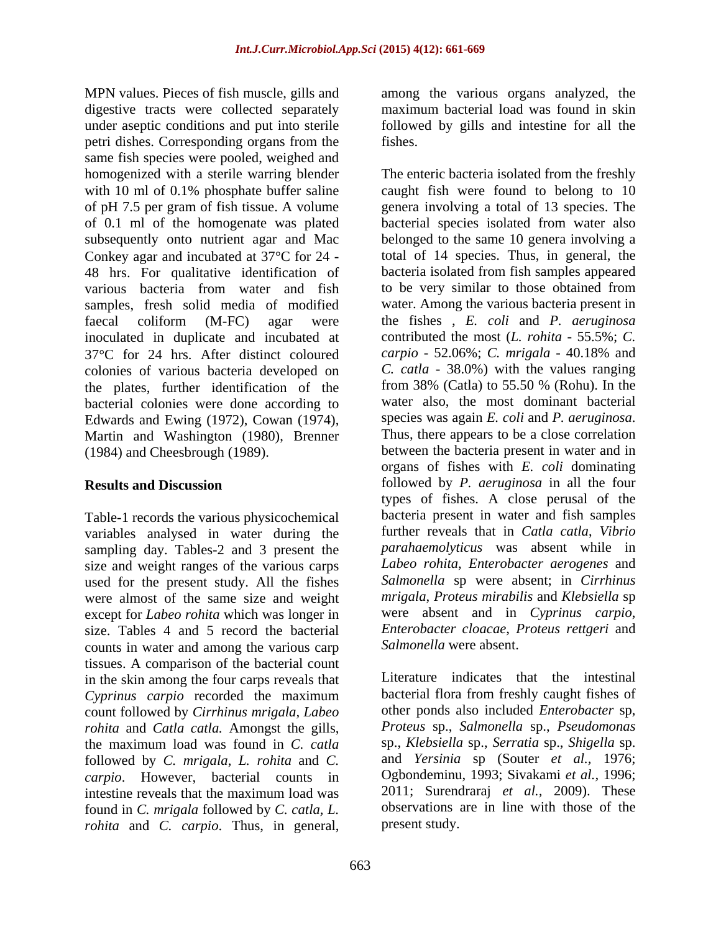MPN values. Pieces of fish muscle, gills and among the various organs analyzed, the digestive tracts were collected separately under aseptic conditions and put into sterile followed by gills and intestine for all the petri dishes. Corresponding organs from the same fish species were pooled, weighed and Conkey agar and incubated at  $37^{\circ}$ C for 24 -48 hrs. For qualitative identification of bacteria isolated from fish samples appeared various bacteria from water and fish to be very similar to those obtained from various bacteria from water and fish samples, fresh solid media of modified inoculated in duplicate and incubated at contributed the most (*L. rohita* - 55.5%; *C.*<br>37°C for 24 hrs. After distinct coloured carpio - 52.06%; *C. mrigala* - 40.18% and 37 C for 24 hrs. After distinct coloured colonies of various bacteria developed on the plates, further identification of the bacterial colonies were done according to water also, the most dominant bacterial Edwards and Ewing (1972). Cowan (1974). Species was again *E. coli* and *P. aeruginosa.* Edwards and Ewing (1972), Cowan (1974), species was again *E. coli* and *P. aeruginosa.*<br>Martin and Washington (1980). Brenner Thus, there appears to be a close correlation Martin and Washington (1980), Brenner

Table-1 records the various physicochemical variables analysed in water during the sampling day. Tables-2 and 3 present the size and weight ranges of the various carps used for the present study. All the fishes were almost of the same size and weight except for *Labeo rohita* which was longer in size. Tables 4 and 5 record the bacterial counts in water and among the various carp tissues. A comparison of the bacterial count in the skin among the four carps reveals that *Cyprinus carpio* recorded the maximum count followed by *Cirrhinus mrigala, Labeo rohita* and *Catla catla.* Amongst the gills, the maximum load was found in *C. catla* followed by *C. mrigala*, *L. rohita* and *C. carpio*. However, bacterial counts in found in *C. mrigala* followed by *C. catla, L. rohita* and *C. carpio*. Thus, in general,

maximum bacterial load was found in skin fishes.

homogenized with a sterile warring blender The enteric bacteria isolated from the freshly with 10 ml of 0.1% phosphate buffer saline caught fish were found to belong to 10 of pH 7.5 per gram of fish tissue. A volume genera involving a total of 13 species. The of 0.1 ml of the homogenate was plated bacterial species isolated from water also subsequently onto nutrient agar and Mac belonged to the same 10 genera involving a faecal coliform (M-FC) agar were the fishes b *E. coli* and *P. aeruginosa* (1984) and Cheesbrough (1989). between the bacteria present in water and in **Results and Discussion** followed by *P. aeruginosa* in all the four total of 14 species. Thus, in general, the bacteria isolated from fish samples appeared to be very similar to those obtained from water. Among the various bacteria present in the fishes , *E. coli* and *P. aeruginosa* contributed the most (*L. rohita* - 55.5%; *C. carpio* - 52.06%; *C. mrigala* - 40.18% and *C. catla* - 38.0%) with the values ranging from 38% (Catla) to 55.50 % (Rohu). In the water also, the most dominant bacterial species was again *E. coli* and *P. aeruginosa*. Thus, there appears to be <sup>a</sup> close correlation organs of fishes with *E. coli* dominating types of fishes. A close perusal of the bacteria present in water and fish samples further reveals that in *Catla catla*, *Vibrio parahaemolyticus* was absent while in *Labeo rohita*, *Enterobacter aerogenes* and *Salmonella* sp were absent; in *Cirrhinus mrigala*, *Proteus mirabilis* and *Klebsiella* sp were absent and in *Cyprinus carpio*, *Enterobacter cloacae*, *Proteus rettgeri* and *Salmonella* were absent.

intestine reveals that the maximum load was 2011; Surendraraj *et al.*, 2009). These Literature indicates that the intestinal bacterial flora from freshly caught fishes of other ponds also included *Enterobacter* sp, *Proteus* sp., *Salmonella* sp., *Pseudomonas*  sp., *Klebsiella* sp., *Serratia* sp., *Shigella* sp. and *Yersinia* sp (Souter *et al.,* 1976; Ogbondeminu, 1993; Sivakami *et al.,* 1996; 2011; Surendraraj *et al.,* 2009). These observations are in line with those of the present study.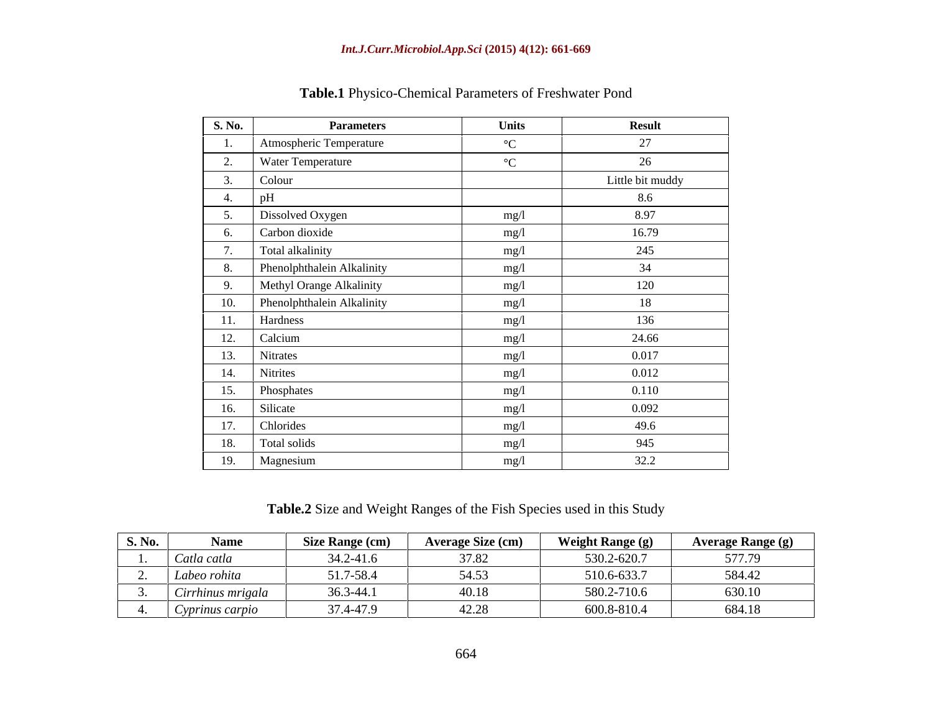| <b>S. No.</b>           | <b>Parameters</b>              | <b>Units</b>    | <b>Result</b>    |
|-------------------------|--------------------------------|-----------------|------------------|
|                         | Atmospheric Temperature        | $\rm ^{\circ}C$ | 27               |
| $\mathcal{L}_{\bullet}$ | Water Temperature              | $\rm ^{\circ}C$ | 26               |
|                         | Colour                         |                 | Little bit muddy |
|                         | nF                             |                 | 8.6              |
|                         | Dissolved Oxygen               | mg/l            | 8.97             |
| 6.                      | Carbon dioxide                 | mg/l            | 16.79            |
| $\overline{ }$          | Total alkalinity               | mg/l            | 245              |
|                         | Phenolphthalein Alkalinity     | mg/l            | 34               |
| 9.                      | Methyl Orange Alkalinity       | mg/l            | 120              |
|                         | 10. Phenolphthalein Alkalinity | mg/l            | 18               |
| 11.                     | Hardness                       | mg/l            | 136              |
| 12.                     | Calcium                        | mg/l            | 24.66            |
| 13.                     | Nitrates                       | mg/1            | 0.017            |
| 14.                     | Nitrites                       | mg/l            | 0.012            |
| 15.                     | Phosphates                     | mg/l            | 0.110            |
| 16.                     | Silicate                       | mg/l            | 0.092            |
| 17.                     | Chlorides                      | mg/l            | 49.6             |
| 18.                     | Total solids                   | mg/l            | 945              |
|                         | 19. Magnesium                  | mg/l            | 32.2             |

**Table.1** Physico-Chemical Parameters of Freshwater Pond

**Table.2** Size and Weight Ranges of the Fish Species used in this Study

| S. No.   | $ -$<br><b>Name</b>          | Size Range (cm) | <b>Average Size (cm)</b>      | <b>Weight Range (g)</b> | Average Range (g) |
|----------|------------------------------|-----------------|-------------------------------|-------------------------|-------------------|
|          | $\sim$ $\sim$<br>Catla catla | 34.2-41.6       | 37.82                         | 530.2-620.7             | F77.70            |
| <u>.</u> | Labeo rohita                 | 51.7-58.4       | 54.53                         | 510.6-633.7             | 584.42            |
|          | Cirrhinus mrigala            | 36.3-44.1       | 40.18                         | 580.2-710.6             | 630.10            |
|          | Cyprinus carpio              | 37.4-47.9       | 10.00<br>$\sim$ $\sim$ $\sim$ | 600.8-810.4             | 684.18            |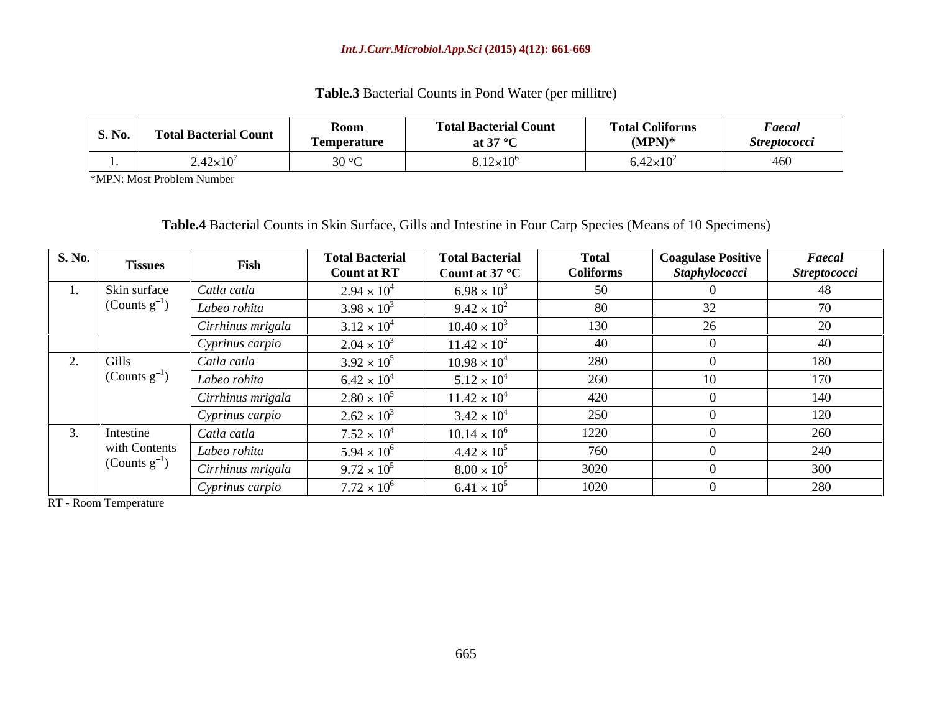| <b>Table.3</b> Bacterial Counts in Pond Water (per millitre) |  |
|--------------------------------------------------------------|--|
|--------------------------------------------------------------|--|

| S. No.   Total Bacterial Count | <b>IZOOIII</b><br><b>Temperature</b> | <b>Bacterial Cour</b><br><b>Total B</b><br>at 37 $\degree$ | <b>Total Coliforms</b><br>$(MPN)^*$ | <b>Faecai</b><br><i>Streptococci</i> |
|--------------------------------|--------------------------------------|------------------------------------------------------------|-------------------------------------|--------------------------------------|
| $2.42\times10^{7}$             |                                      | $8.12\times10^{6}$                                         | $6.42\times10^{2}$                  |                                      |

\*MPN: Most Problem Number

**Table.4** Bacterial Counts in Skin Surface, Gills and Intestine in Four Carp Species (Means of 10 Specimens)

| <b>S. No.</b> | <b>Tissues</b>   | Fish              | <b>Total Bacterial</b><br><b>Count at RT</b> | <b>Total Bacterial</b><br>Count at 37 °C | <b>Total</b><br><b>Coliforms</b> | <b>Coagulase Positive</b><br><b>Staphylococci</b> | Faecal<br><b>Streptococci</b> |
|---------------|------------------|-------------------|----------------------------------------------|------------------------------------------|----------------------------------|---------------------------------------------------|-------------------------------|
|               | Skin surface     | Catla catla       | $2.94 \times 10^{4}$                         | $6.98 \times 10^{3}$                     | 50                               |                                                   | 48                            |
|               | (Counts $g^-$    | Labeo rohita      | $3.98 \times 10^{3}$                         | $9.42 \times 10^{2}$                     | 80                               | 32                                                | 70                            |
|               |                  | Cirrhinus mrigala | $3.12 \times 10^{4}$                         | $10.40 \times 10^3$                      | 130                              | 26                                                | 20                            |
|               |                  | Cyprinus carpio   | $2.04 \times 10^{3}$                         | $11.42 \times 10^{2}$                    | 40                               |                                                   | 40                            |
|               | Gills            | Catla catla       | $3.92 \times 10^{5}$                         | $10.98 \times 10^4$                      | 280                              |                                                   | 180                           |
|               | (Counts $g^-$    | Labeo rohita      | $6.42 \times 10^{4}$                         | $5.12 \times 10^{4}$                     | 260                              | 10                                                | 170                           |
|               |                  | Cirrhinus mrigala | $2.80 \times 10^{5}$                         | $11.42 \times 10^4$                      | 420                              |                                                   | 140                           |
|               |                  | Cyprinus carpio   | $2.62 \times 10^{3}$                         | $3.42 \times 10^{4}$                     | 250                              |                                                   | 120                           |
|               | Intestine        | Catla catla       | $7.52 \times 10^{4}$                         | $10.14 \times 10^6$                      | 1220                             |                                                   | 260                           |
|               | with Contents    | Labeo rohita      | $5.94 \times 10^{6}$                         | $4.42 \times 10^{5}$                     | 760                              |                                                   | 240                           |
|               | (Counts $g^{-1}$ | Cirrhinus mrigala | $9.72 \times 10^{5}$                         | $8.00 \times 10^{5}$                     | 3020                             |                                                   | 300                           |
|               |                  | Cyprinus carpio   | $7.72 \times 10^{6}$                         | $6.41 \times 10^{5}$                     | 1020                             |                                                   | 280                           |

RT - Room Temperature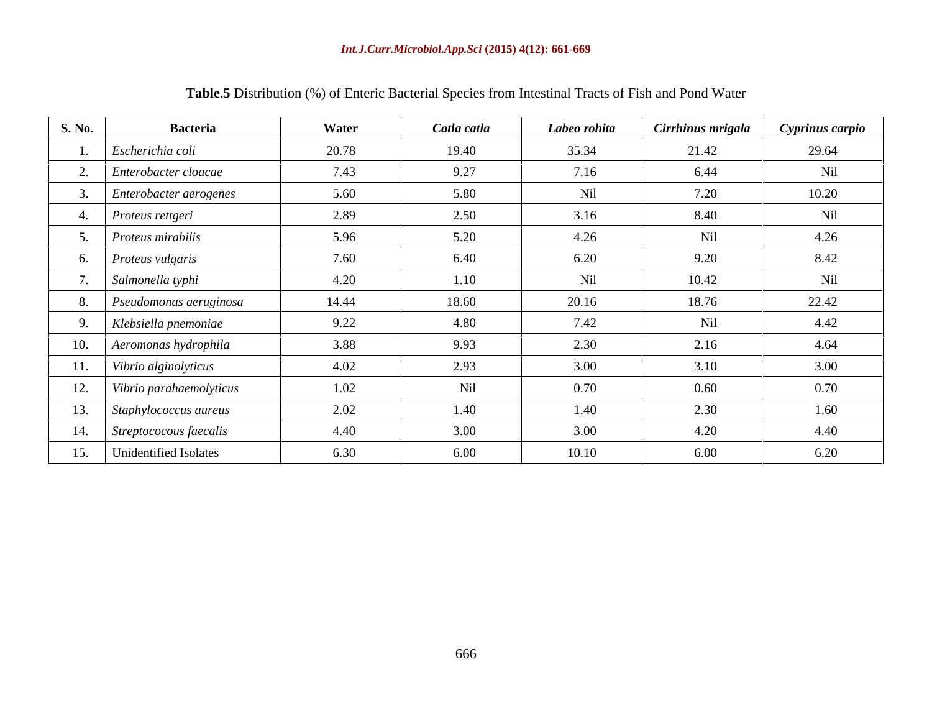| <b>S. No.</b> | <b>Bacteria</b>              | Water | Catla catla | Labeo rohita | Cirrhinus mrigala | Cyprinus carpio |
|---------------|------------------------------|-------|-------------|--------------|-------------------|-----------------|
|               | Escherichia coli             | 20.78 | 19.40       | 35.34        | 21.42             | 29.64           |
|               | 2. Enterobacter cloacae      | 7.43  | 9.27        | 7.16         | 6.44              | Nil             |
|               | Enterobacter aerogenes       | 5.60  | 5.80        | Nil          | 7.20              | 10.20           |
|               | Proteus rettgeri             | 2.89  | 2.50        | 3.16         | 8.40              | Nil             |
|               | 5. <i>Proteus mirabilis</i>  | 5.96  | 5.20        | 4.26         | Nil               | 4.26            |
|               | Proteus vulgaris             | 7.60  | 6.40        | 6.20         | 9.20              | 8.42            |
|               | Salmonella typhi             | 4.20  | 1.10        | Nil          | 10.42             | Nil             |
|               | Pseudomonas aeruginosa       | 14.44 | 18.60       | 20.16        | 18.76             | 22.42           |
|               | Klebsiella pnemoniae         | 9.22  | 4.80        | 7.42         | Nil               | 4.42            |
|               | 10. Aeromonas hydrophila     | 3.88  | 9.93        | 2.30         | 2.16              | 4.64            |
| 11.           | Vibrio alginolyticus         | 4.02  | 2.93        | 3.00         | 3.10              | 3.00            |
|               | 12. Vibrio parahaemolyticus  | 1.02  | Nil         | 0.70         | 0.60              | 0.70            |
| 13.           | $\int$ Staphylococcus aureus | 2.02  | 1.40        | 1.40         | 2.30              | 1.60            |
|               | 14. Streptococous faecalis   | 4.40  | 3.00        | 3.00         | 4.20              | 4.40            |
|               | 15. Unidentified Isolates    | 6.30  | 6.00        | 10.10        | 6.00              | 6.20            |

# **Table.5** Distribution (%) of Enteric Bacterial Species from Intestinal Tracts of Fish and Pond Water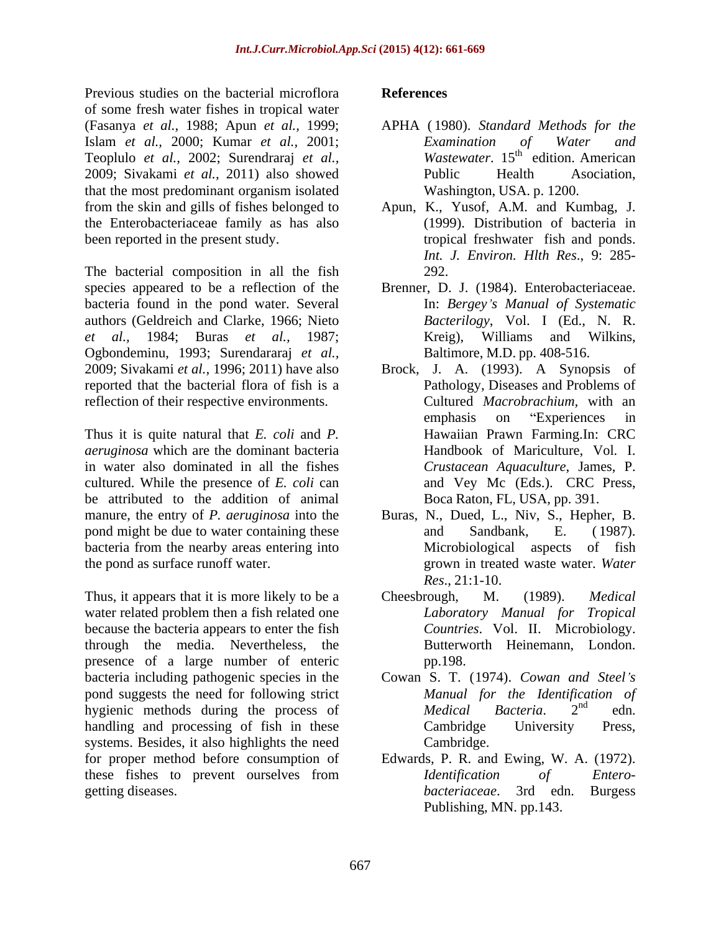Previous studies on the bacterial microflora References of some fresh water fishes in tropical water (Fasanya *et al.,* 1988; Apun *et al.,* 1999; Islam *et al.,* 2000; Kumar *et al.,* 2001; Teoplulo *et al.,* 2002; Surendraraj *et al.,* 2009; Sivakami *et al.,* 2011) also showed that the most predominant organism isolated from the skin and gills of fishes belonged to the Enterobacteriaceae family as has also

The bacterial composition in all the fish 292. species appeared to be a reflection of the Brenner, D. J. (1984). Enterobacteriaceae. bacteria found in the pond water. Several authors (Geldreich and Clarke, 1966; Nieto *et al.,* 1984; Buras *et al.,* 1987; Kreig), Williams and Wilkins, Ogbondeminu, 1993; Surendararaj *et al.,* reported that the bacterial flora of fish is a reflection of their respective environments.

Thus it is quite natural that *E. coli* and *P. aeruginosa* which are the dominant bacteria in water also dominated in all the fishes cultured. While the presence of *E. coli* can be attributed to the addition of animal manure, the entry of *P. aeruginosa* into the Buras, N., Dued, L., Niv, S., Hepher, B. pond might be due to water containing these and Sandbank, E. (1987). bacteria from the nearby areas entering into

Thus, it appears that it is more likely to be a Cheesbrough, M. (1989). *Medical* water related problem then a fish related one because the bacteria appears to enter the fish through the media. Nevertheless, the presence of a large number of enteric pp.198. bacteria including pathogenic species in the Cowan S. T. (1974). *Cowan and Steel s* pond suggests the need for following strict *Manual for the Identifica*<br>hygienic methods during the process of *Medical Bacteria* hygienic methods during the process of *Medical Bacteria*. 2<sup>nd</sup> edn. handling and processing of fish in these Cambridge University Press, systems. Besides, it also highlights the need Cambridge. for proper method before consumption of Edwards, P. R. and Ewing, W. A. (1972). these fishes to prevent ourselves from *Identification of Entero*getting diseases. bacteriaceae. 3rd edn. Burgess

#### **References**

- APHA ( 1980). *Standard Methods for the Examination of Water and Wastewater*, 15<sup>th</sup> edition, American edition. American Public Health Asociation, Washington, USA. p. 1200.
- been reported in the present study. The stropical freshwater fish and ponds. Apun, K., Yusof, A.M. and Kumbag, J. (1999). Distribution of bacteria in *Int. J. Environ. Hlth Res*., 9: 285- 292.
	- In: *Bergey s Manual of Systematic Bacterilogy*, Vol. I (Ed., N. R. Baltimore, M.D. pp. 408-516.
- 2009; Sivakami *et al.,* 1996; 2011) have also Brock, J. A. (1993). A Synopsis of Pathology, Diseases and Problems of Cultured *Macrobrachium,* with an emphasis on "Experiences in Hawaiian Prawn Farming.In: CRC Handbook of Mariculture, Vol. I. *Crustacean Aquaculture*, James, P. and Vey Mc (Eds.). CRC Press, Boca Raton, FL, USA, pp. 391.
- the pond as surface runoff water. grown in treated waste water. *Water* and Sandbank, E. ( 1987). Microbiological aspects of fish *Res*., 21:1-10.
	- Cheesbrough, M. (1989). *Medical Laboratory Manual for Tropical Countries*. Vol. II. Microbiology. Butterworth Heinemann, London. pp.198.
	- *Manual for the Identification of Medical Bacteria*. 2 nd edn. Cambridge University Press, Cambridge.
	- *Identification of Entero bacteriaceae*. 3rd edn. Burgess Publishing, MN. pp.143.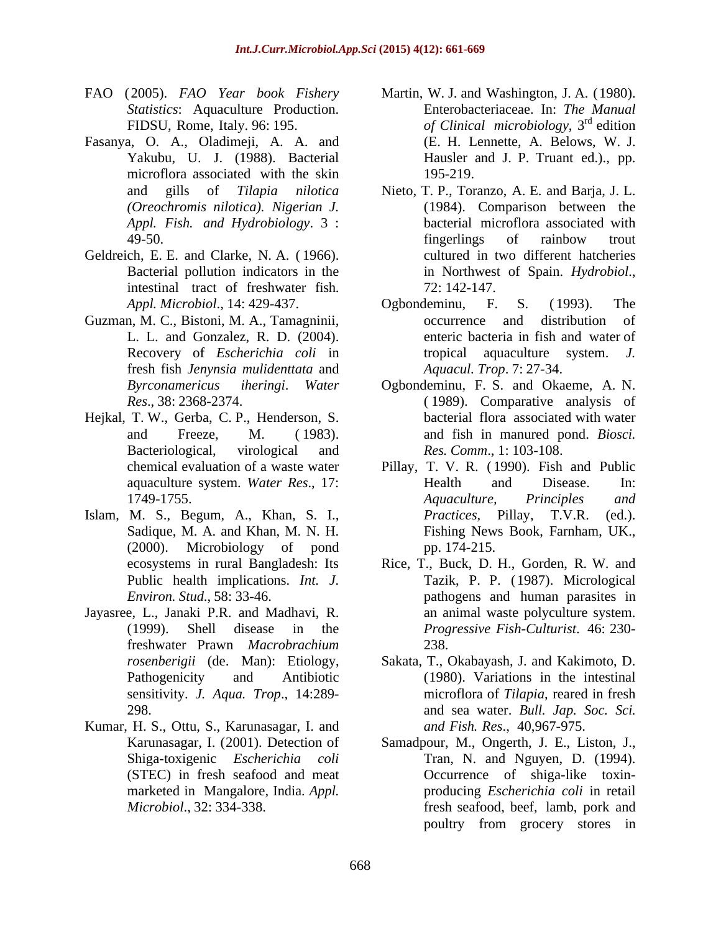- 
- Fasanya, O. A., Oladimeji, A. A. and microflora associated with the skin 195-219. *Appl. Fish. and Hydrobiology*. 3 :
- Geldreich, E. E. and Clarke, N. A. ( 1966). intestinal tract of freshwater fish.
- Guzman, M. C., Bistoni, M. A., Tamagninii, fresh fish *Jenynsia mulidenttata* and
- Hejkal, T. W., Gerba, C. P., Henderson, S.
- Islam, M. S., Begum, A., Khan, S. I., Practices, Pillay, T.V.R. (ed.). Sadique, M. A. and Khan, M. N. H.
- Jayasree, L., Janaki P.R. and Madhavi, R. sensitivity. *J. Aqua. Trop*., 14:289-
- Kumar, H. S., Ottu, S., Karunasagar, I. and marketed in Mangalore, India. *Appl.*
- FAO (2005). *FAO Year book Fishery* Martin, W. J. and Washington, J. A. (1980). *Statistics*: Aquaculture Production. Enterobacteriaceae. In: *The Manual* FIDSU, Rome, Italy. 96: 195. *of Clinical microbiology*, 3 Yakubu, U. J. (1988). Bacterial Hausler and J. P. Truant ed.)., pp.  $rd_{\text{adition}}$ edition and the set of the set of the set of the set of the set of the set of the set of the set of the set of the set of the set of the set of the set of the set of the set of the set of the set of the set of the set of t (E. H. Lennette, A. Belows, W. J. 195-219.
	- and gills of *Tilapia nilotica* Nieto, T. P., Toranzo, A. E. and Barja, J. L. *(Oreochromis nilotica). Nigerian J.* (1984). Comparison between the 49-50. Tingerlings of rainbow trout Bacterial pollution indicators in the in Northwest of Spain. *Hydrobiol*., bacterial microflora associated with fingerlings of rainbow trout cultured in two different hatcheries 72: 142-147.
	- *Appl. Microbiol*., 14: 429-437. L. L. and Gonzalez, R. D. (2004). enteric bacteria in fish and water of Recovery of *Escherichia coli* in tropical aquaculture system. *J.* Ogbondeminu, F. S. ( 1993). The occurrence and distribution of *Aquacul. Trop*. 7: 27-34.
	- *Byrconamericus iheringi*. *Water* Ogbondeminu, F. S. and Okaeme, A. N. *Res*., 38: 2368-2374. ( 1989). Comparative analysis of and Freeze, M. ( 1983). and fish in manured pond. *Biosci.*  Bacteriological, virological and Res. Comm., 1:103-108. bacterial flora associated with water *Res. Comm*., 1: 103-108.
	- chemical evaluation of a waste water Pillay, T. V. R. ( 1990). Fish and Public aquaculture system. *Water Res*., 17: 1749-1755. **Example 20 Aquaculture**, Principles and (2000). Microbiology of pond Health and Disease. In: *Aquaculture, Principles and Practices*, Pillay, Fishing News Book, Farnham, UK., pp. 174-215.
	- ecosystems in rural Bangladesh: Its Rice, T., Buck, D. H., Gorden, R. W. and Public health implications. *Int. J.* Tazik, P. P. (1987). Micrological *Environ. Stud*., 58: 33-46. pathogens and human parasites in (1999). Shell disease in the *Progressive Fish-Culturist*. 46: 230 freshwater Prawn *Macrobrachium* an animal waste polyculture system. 238.
	- *rosenberigii* (de. Man): Etiology, Sakata, T., Okabayash, J. and Kakimoto, D. Pathogenicity and Antibiotic (1980). Variations in the intestinal 298. and sea water. *Bull. Jap. Soc. Sci.* microflora of *Tilapia*, reared in fresh *and Fish. Res*., 40,967-975.
	- Karunasagar, I. (2001). Detection of Samadpour, M., Ongerth, J. E., Liston, J., Shiga-toxigenic *Escherichia coli* Tran, N. and Nguyen, D. (1994). (STEC) in fresh seafood and meat Occurrence of shiga-like toxin- *Microbiol*., 32: 334-338. fresh seafood, beef, lamb, pork and producing *Escherichia coli* in retail poultry from grocery stores in